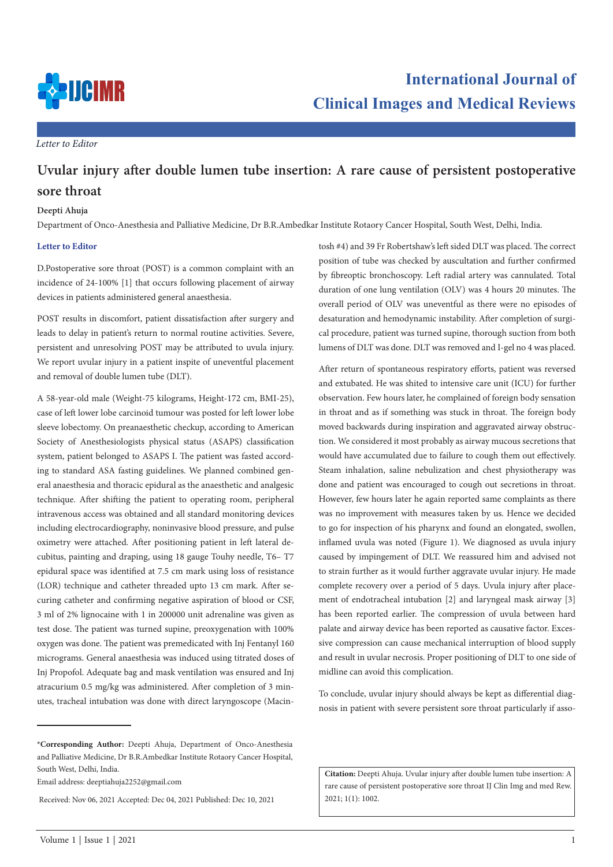

*Letter to Editor*

## **Uvular injury after double lumen tube insertion: A rare cause of persistent postoperative sore throat**

## **Deepti Ahuja**

Department of Onco-Anesthesia and Palliative Medicine, Dr B.R.Ambedkar Institute Rotaory Cancer Hospital, South West, Delhi, India.

## **Letter to Editor**

D.Postoperative sore throat (POST) is a common complaint with an incidence of 24-100% [1] that occurs following placement of airway devices in patients administered general anaesthesia.

POST results in discomfort, patient dissatisfaction after surgery and leads to delay in patient's return to normal routine activities. Severe, persistent and unresolving POST may be attributed to uvula injury. We report uvular injury in a patient inspite of uneventful placement and removal of double lumen tube (DLT).

A 58-year-old male (Weight-75 kilograms, Height-172 cm, BMI-25), case of left lower lobe carcinoid tumour was posted for left lower lobe sleeve lobectomy. On preanaesthetic checkup, according to American Society of Anesthesiologists physical status (ASAPS) classification system, patient belonged to ASAPS I. The patient was fasted according to standard ASA fasting guidelines. We planned combined general anaesthesia and thoracic epidural as the anaesthetic and analgesic technique. After shifting the patient to operating room, peripheral intravenous access was obtained and all standard monitoring devices including electrocardiography, noninvasive blood pressure, and pulse oximetry were attached. After positioning patient in left lateral decubitus, painting and draping, using 18 gauge Touhy needle, T6– T7 epidural space was identified at 7.5 cm mark using loss of resistance (LOR) technique and catheter threaded upto 13 cm mark. After securing catheter and confirming negative aspiration of blood or CSF, 3 ml of 2% lignocaine with 1 in 200000 unit adrenaline was given as test dose. The patient was turned supine, preoxygenation with 100% oxygen was done. The patient was premedicated with Inj Fentanyl 160 micrograms. General anaesthesia was induced using titrated doses of Inj Propofol. Adequate bag and mask ventilation was ensured and Inj atracurium 0.5 mg/kg was administered. After completion of 3 minutes, tracheal intubation was done with direct laryngoscope (Macin-

**\*Corresponding Author:** Deepti Ahuja, Department of Onco-Anesthesia and Palliative Medicine, Dr B.R.Ambedkar Institute Rotaory Cancer Hospital, South West, Delhi, India.

Email address: deeptiahuja2252@gmail.com

Received: Nov 06, 2021 Accepted: Dec 04, 2021 Published: Dec 10, 2021

tosh #4) and 39 Fr Robertshaw's left sided DLT was placed. The correct position of tube was checked by auscultation and further confirmed by fibreoptic bronchoscopy. Left radial artery was cannulated. Total duration of one lung ventilation (OLV) was 4 hours 20 minutes. The overall period of OLV was uneventful as there were no episodes of desaturation and hemodynamic instability. After completion of surgical procedure, patient was turned supine, thorough suction from both lumens of DLT was done. DLT was removed and I-gel no 4 was placed.

After return of spontaneous respiratory efforts, patient was reversed and extubated. He was shited to intensive care unit (ICU) for further observation. Few hours later, he complained of foreign body sensation in throat and as if something was stuck in throat. The foreign body moved backwards during inspiration and aggravated airway obstruction. We considered it most probably as airway mucous secretions that would have accumulated due to failure to cough them out effectively. Steam inhalation, saline nebulization and chest physiotherapy was done and patient was encouraged to cough out secretions in throat. However, few hours later he again reported same complaints as there was no improvement with measures taken by us. Hence we decided to go for inspection of his pharynx and found an elongated, swollen, inflamed uvula was noted (Figure 1). We diagnosed as uvula injury caused by impingement of DLT. We reassured him and advised not to strain further as it would further aggravate uvular injury. He made complete recovery over a period of 5 days. Uvula injury after placement of endotracheal intubation [2] and laryngeal mask airway [3] has been reported earlier. The compression of uvula between hard palate and airway device has been reported as causative factor. Excessive compression can cause mechanical interruption of blood supply and result in uvular necrosis. Proper positioning of DLT to one side of midline can avoid this complication.

To conclude, uvular injury should always be kept as differential diagnosis in patient with severe persistent sore throat particularly if asso-

**Citation:** Deepti Ahuja. Uvular injury after double lumen tube insertion: A rare cause of persistent postoperative sore throat IJ Clin Img and med Rew. 2021; 1(1): 1002.